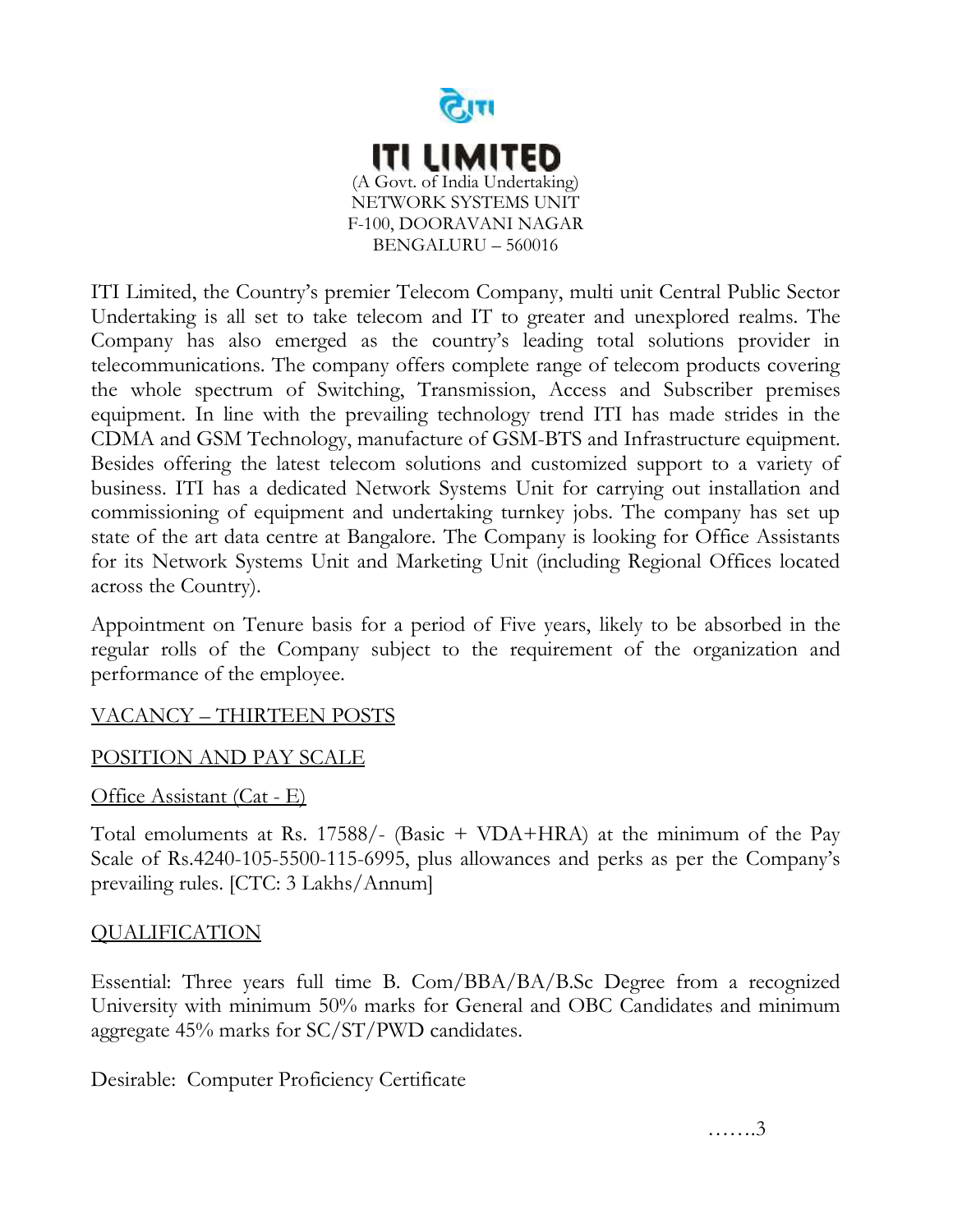

ITI Limited, the Country's premier Telecom Company, multi unit Central Public Sector Undertaking is all set to take telecom and IT to greater and unexplored realms. The Company has also emerged as the country's leading total solutions provider in telecommunications. The company offers complete range of telecom products covering the whole spectrum of Switching, Transmission, Access and Subscriber premises equipment. In line with the prevailing technology trend ITI has made strides in the CDMA and GSM Technology, manufacture of GSM-BTS and Infrastructure equipment. Besides offering the latest telecom solutions and customized support to a variety of business. ITI has a dedicated Network Systems Unit for carrying out installation and commissioning of equipment and undertaking turnkey jobs. The company has set up state of the art data centre at Bangalore. The Company is looking for Office Assistants for its Network Systems Unit and Marketing Unit (including Regional Offices located across the Country).

Appointment on Tenure basis for a period of Five years, likely to be absorbed in the regular rolls of the Company subject to the requirement of the organization and performance of the employee.

## VACANCY – THIRTEEN POSTS

## POSITION AND PAY SCALE

Office Assistant (Cat - E)

Total emoluments at Rs. 17588/- (Basic + VDA+HRA) at the minimum of the Pay Scale of Rs.4240-105-5500-115-6995, plus allowances and perks as per the Company's prevailing rules. [CTC: 3 Lakhs/Annum]

## **QUALIFICATION**

Essential: Three years full time B. Com/BBA/BA/B.Sc Degree from a recognized University with minimum 50% marks for General and OBC Candidates and minimum aggregate 45% marks for SC/ST/PWD candidates.

Desirable: Computer Proficiency Certificate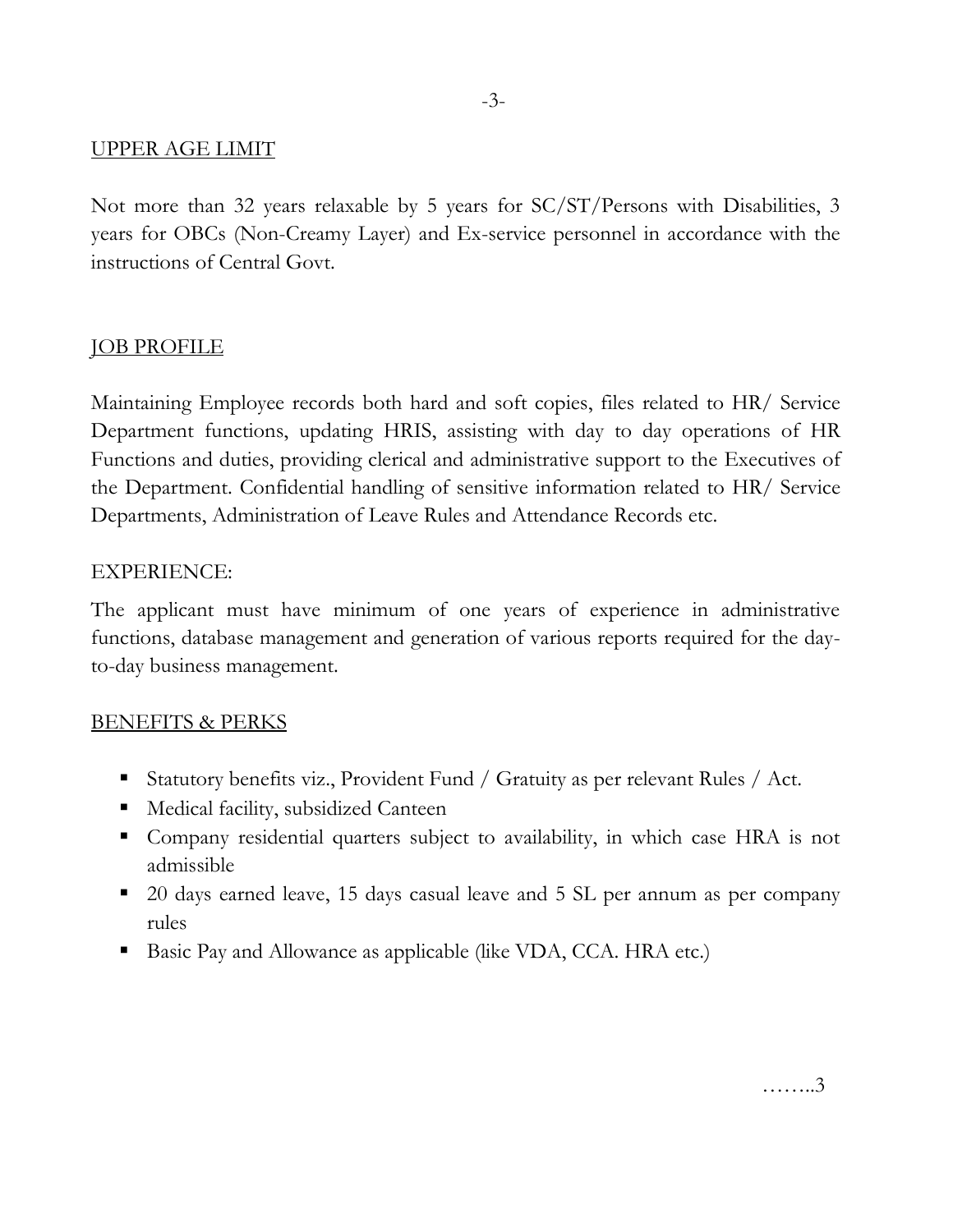## UPPER AGE LIMIT

Not more than 32 years relaxable by 5 years for SC/ST/Persons with Disabilities, 3 years for OBCs (Non-Creamy Layer) and Ex-service personnel in accordance with the instructions of Central Govt.

## JOB PROFILE

Maintaining Employee records both hard and soft copies, files related to HR/ Service Department functions, updating HRIS, assisting with day to day operations of HR Functions and duties, providing clerical and administrative support to the Executives of the Department. Confidential handling of sensitive information related to HR/ Service Departments, Administration of Leave Rules and Attendance Records etc.

### EXPERIENCE:

The applicant must have minimum of one years of experience in administrative functions, database management and generation of various reports required for the dayto-day business management.

#### BENEFITS & PERKS

- Statutory benefits viz., Provident Fund / Gratuity as per relevant Rules / Act.
- Medical facility, subsidized Canteen
- Company residential quarters subject to availability, in which case HRA is not admissible
- 20 days earned leave, 15 days casual leave and 5 SL per annum as per company rules
- Basic Pay and Allowance as applicable (like VDA, CCA. HRA etc.)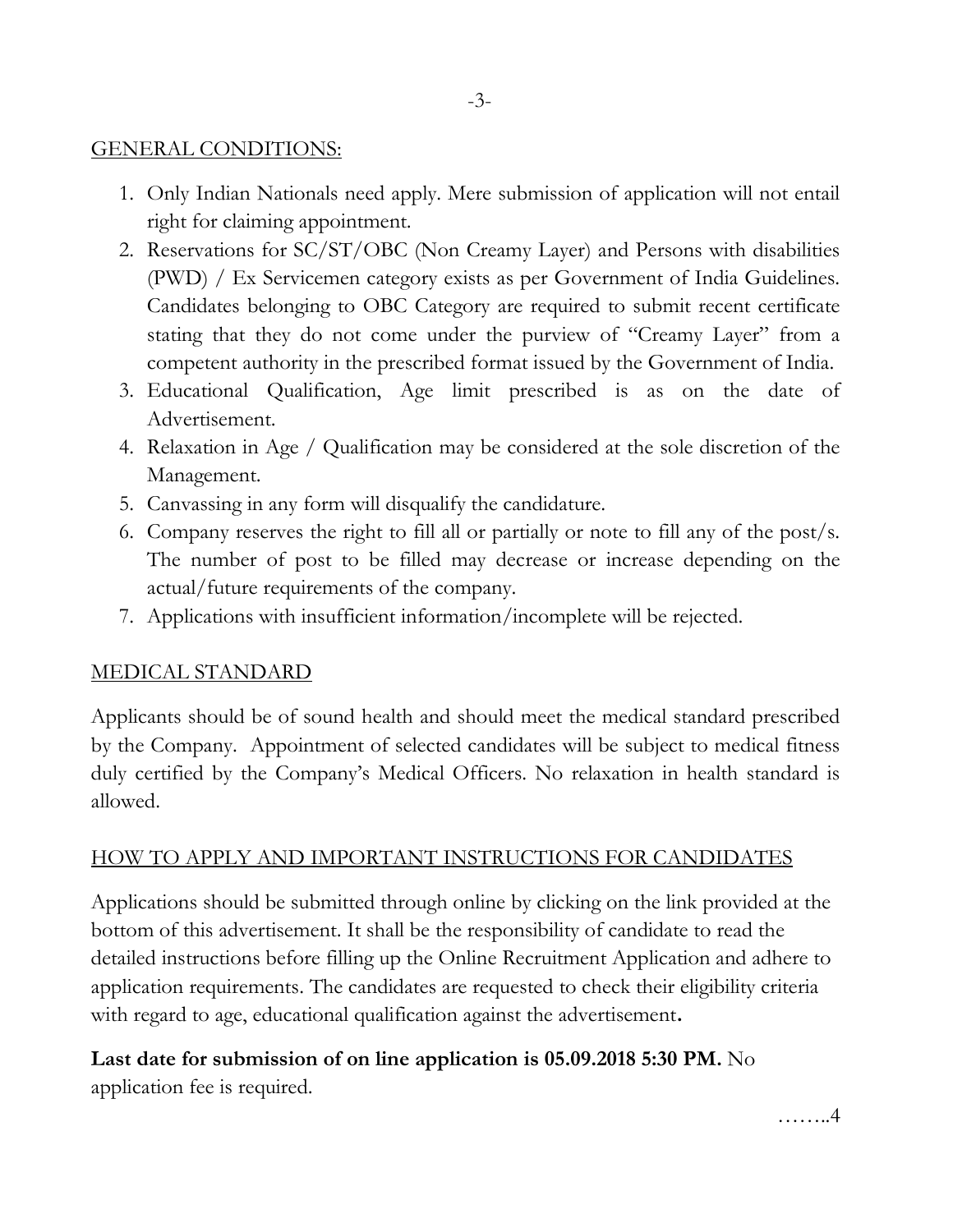## GENERAL CONDITIONS:

- 1. Only Indian Nationals need apply. Mere submission of application will not entail right for claiming appointment.
- 2. Reservations for SC/ST/OBC (Non Creamy Layer) and Persons with disabilities (PWD) / Ex Servicemen category exists as per Government of India Guidelines. Candidates belonging to OBC Category are required to submit recent certificate stating that they do not come under the purview of "Creamy Layer" from a competent authority in the prescribed format issued by the Government of India.
- 3. Educational Qualification, Age limit prescribed is as on the date of Advertisement.
- 4. Relaxation in Age / Qualification may be considered at the sole discretion of the Management.
- 5. Canvassing in any form will disqualify the candidature.
- 6. Company reserves the right to fill all or partially or note to fill any of the post/s. The number of post to be filled may decrease or increase depending on the actual/future requirements of the company.
- 7. Applications with insufficient information/incomplete will be rejected.

## MEDICAL STANDARD

Applicants should be of sound health and should meet the medical standard prescribed by the Company. Appointment of selected candidates will be subject to medical fitness duly certified by the Company's Medical Officers. No relaxation in health standard is allowed.

## HOW TO APPLY AND IMPORTANT INSTRUCTIONS FOR CANDIDATES

Applications should be submitted through online by clicking on the link provided at the bottom of this advertisement. It shall be the responsibility of candidate to read the detailed instructions before filling up the Online Recruitment Application and adhere to application requirements. The candidates are requested to check their eligibility criteria with regard to age, educational qualification against the advertisement**.** 

# **Last date for submission of on line application is 05.09.2018 5:30 PM.** No

application fee is required.